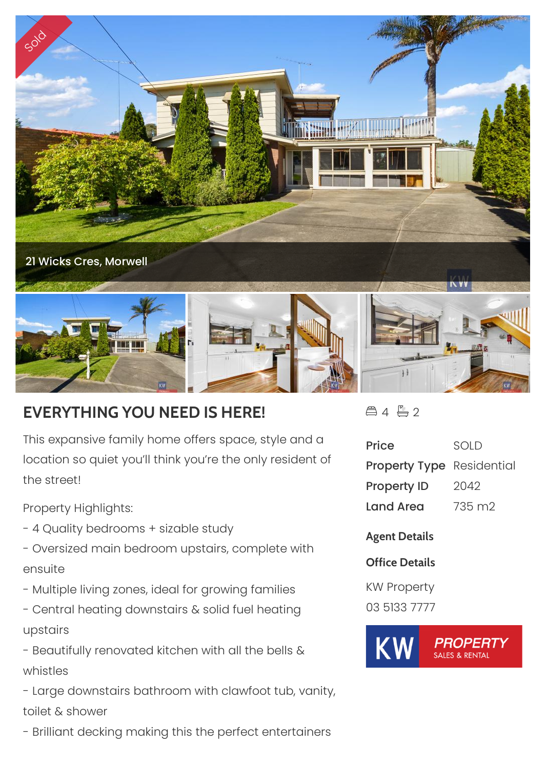

## **EVERYTHING YOU NEED IS HERE!**

This expansive family home offers space, style and a location so quiet you'll think you're the only resident of the street!

Property Highlights:

- 4 Quality bedrooms + sizable study
- Oversized main bedroom upstairs, complete with ensuite
- Multiple living zones, ideal for growing families
- Central heating downstairs & solid fuel heating upstairs
- Beautifully renovated kitchen with all the bells & whistles

- Large downstairs bathroom with clawfoot tub, vanity, toilet & shower

- Brilliant decking making this the perfect entertainers

 $4 - 2$ 

| <b>Price</b>                     | <b>SOLD</b> |
|----------------------------------|-------------|
| <b>Property Type</b> Residential |             |
| <b>Property ID</b>               | 2042        |
| Land Area                        | 735 m2      |

**Agent Details**

**Office Details**

KW Property 03 5133 7777